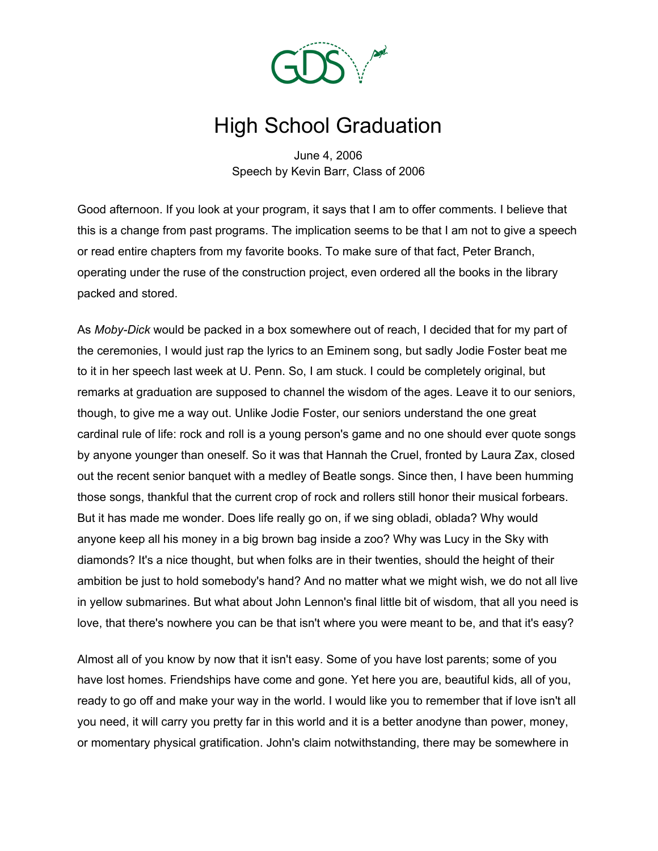

## High School Graduation

June 4, 2006 Speech by Kevin Barr, Class of 2006

Good afternoon. If you look at your program, it says that I am to offer comments. I believe that this is a change from past programs. The implication seems to be that I am not to give a speech or read entire chapters from my favorite books. To make sure of that fact, Peter Branch, operating under the ruse of the construction project, even ordered all the books in the library packed and stored.

As *Moby-Dick* would be packed in a box somewhere out of reach, I decided that for my part of the ceremonies, I would just rap the lyrics to an Eminem song, but sadly Jodie Foster beat me to it in her speech last week at U. Penn. So, I am stuck. I could be completely original, but remarks at graduation are supposed to channel the wisdom of the ages. Leave it to our seniors, though, to give me a way out. Unlike Jodie Foster, our seniors understand the one great cardinal rule of life: rock and roll is a young person's game and no one should ever quote songs by anyone younger than oneself. So it was that Hannah the Cruel, fronted by Laura Zax, closed out the recent senior banquet with a medley of Beatle songs. Since then, I have been humming those songs, thankful that the current crop of rock and rollers still honor their musical forbears. But it has made me wonder. Does life really go on, if we sing obladi, oblada? Why would anyone keep all his money in a big brown bag inside a zoo? Why was Lucy in the Sky with diamonds? It's a nice thought, but when folks are in their twenties, should the height of their ambition be just to hold somebody's hand? And no matter what we might wish, we do not all live in yellow submarines. But what about John Lennon's final little bit of wisdom, that all you need is love, that there's nowhere you can be that isn't where you were meant to be, and that it's easy?

Almost all of you know by now that it isn't easy. Some of you have lost parents; some of you have lost homes. Friendships have come and gone. Yet here you are, beautiful kids, all of you, ready to go off and make your way in the world. I would like you to remember that if love isn't all you need, it will carry you pretty far in this world and it is a better anodyne than power, money, or momentary physical gratification. John's claim notwithstanding, there may be somewhere in